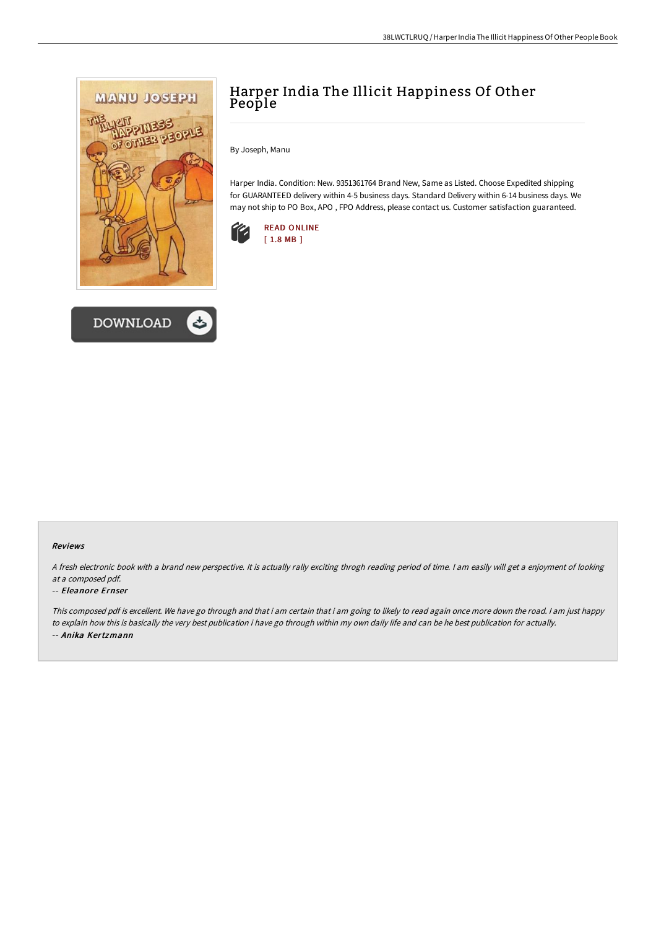



# Harper India The Illicit Happiness Of Other People

By Joseph, Manu

Harper India. Condition: New. 9351361764 Brand New, Same as Listed. Choose Expedited shipping for GUARANTEED delivery within 4-5 business days. Standard Delivery within 6-14 business days. We may not ship to PO Box, APO , FPO Address, please contact us. Customer satisfaction guaranteed.



### Reviews

<sup>A</sup> fresh electronic book with <sup>a</sup> brand new perspective. It is actually rally exciting throgh reading period of time. <sup>I</sup> am easily will get <sup>a</sup> enjoyment of looking at <sup>a</sup> composed pdf.

### -- Eleanore Ernser

This composed pdf is excellent. We have go through and that i am certain that i am going to likely to read again once more down the road. <sup>I</sup> am just happy to explain how this is basically the very best publication i have go through within my own daily life and can be he best publication for actually. -- Anika Kertzmann